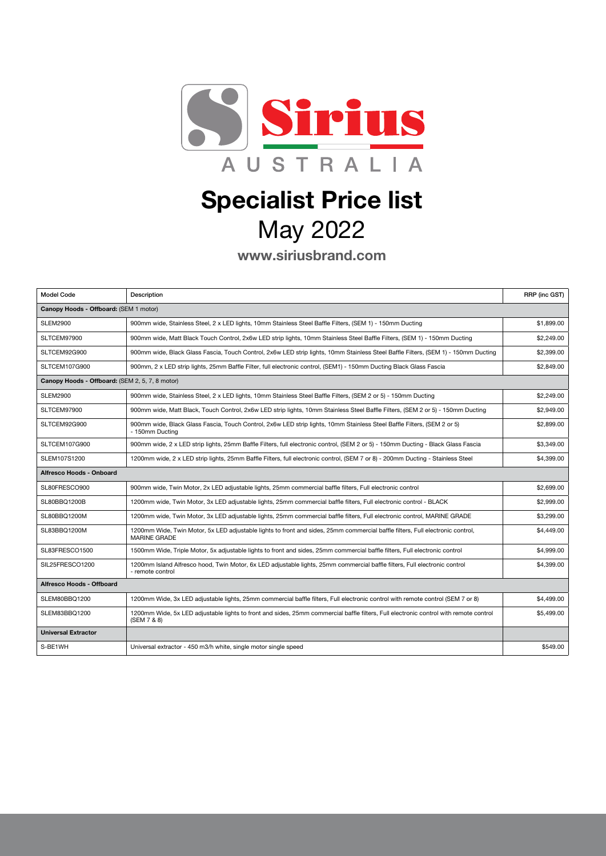

## Specialist Price list May 2022

www.siriusbrand.com

| <b>Model Code</b>                               | Description                                                                                                                                           | RRP (inc GST) |  |
|-------------------------------------------------|-------------------------------------------------------------------------------------------------------------------------------------------------------|---------------|--|
| Canopy Hoods - Offboard: (SEM 1 motor)          |                                                                                                                                                       |               |  |
| <b>SLEM2900</b>                                 | 900mm wide, Stainless Steel, 2 x LED lights, 10mm Stainless Steel Baffle Filters, (SEM 1) - 150mm Ducting                                             | \$1,899.00    |  |
| SLTCEM97900                                     | 900mm wide, Matt Black Touch Control, 2x6w LED strip lights, 10mm Stainless Steel Baffle Filters, (SEM 1) - 150mm Ducting                             | \$2,249.00    |  |
| SLTCEM92G900                                    | 900mm wide, Black Glass Fascia, Touch Control, 2x6w LED strip lights, 10mm Stainless Steel Baffle Filters, (SEM 1) - 150mm Ducting                    | \$2,399.00    |  |
| SLTCEM107G900                                   | 900mm, 2 x LED strip lights, 25mm Baffle Filter, full electronic control, (SEM1) - 150mm Ducting Black Glass Fascia                                   | \$2,849.00    |  |
| Canopy Hoods - Offboard: (SEM 2, 5, 7, 8 motor) |                                                                                                                                                       |               |  |
| <b>SLEM2900</b>                                 | 900mm wide, Stainless Steel, 2 x LED lights, 10mm Stainless Steel Baffle Filters, (SEM 2 or 5) - 150mm Ducting                                        | \$2,249.00    |  |
| SLTCEM97900                                     | 900mm wide, Matt Black, Touch Control, 2x6w LED strip lights, 10mm Stainless Steel Baffle Filters, (SEM 2 or 5) - 150mm Ducting                       | \$2,949.00    |  |
| SLTCEM92G900                                    | 900mm wide, Black Glass Fascia, Touch Control, 2x6w LED strip lights, 10mm Stainless Steel Baffle Filters, (SEM 2 or 5)<br>- 150mm Ducting            | \$2,899.00    |  |
| SLTCEM107G900                                   | 900mm wide, 2 x LED strip lights, 25mm Baffle Filters, full electronic control, (SEM 2 or 5) - 150mm Ducting - Black Glass Fascia                     | \$3,349.00    |  |
| SLEM107S1200                                    | 1200mm wide, 2 x LED strip lights, 25mm Baffle Filters, full electronic control, (SEM 7 or 8) - 200mm Ducting - Stainless Steel                       | \$4,399.00    |  |
| Alfresco Hoods - Onboard                        |                                                                                                                                                       |               |  |
| SL80FRESCO900                                   | 900mm wide, Twin Motor, 2x LED adjustable lights, 25mm commercial baffle filters, Full electronic control                                             | \$2.699.00    |  |
| SL80BBQ1200B                                    | 1200mm wide, Twin Motor, 3x LED adjustable lights, 25mm commercial baffle filters, Full electronic control - BLACK                                    | \$2,999.00    |  |
| SL80BBQ1200M                                    | 1200mm wide, Twin Motor, 3x LED adjustable lights, 25mm commercial baffle filters, Full electronic control, MARINE GRADE                              | \$3,299.00    |  |
| SL83BBQ1200M                                    | 1200mm Wide, Twin Motor, 5x LED adjustable lights to front and sides, 25mm commercial baffle filters, Full electronic control,<br><b>MARINE GRADE</b> | \$4,449.00    |  |
| SL83FRESCO1500                                  | 1500mm Wide, Triple Motor, 5x adjustable lights to front and sides, 25mm commercial baffle filters, Full electronic control                           | \$4,999.00    |  |
| SIL25FRESCO1200                                 | 1200mm Island Alfresco hood, Twin Motor, 6x LED adjustable lights, 25mm commercial baffle filters, Full electronic control<br>- remote control        | \$4,399.00    |  |
| Alfresco Hoods - Offboard                       |                                                                                                                                                       |               |  |
| SLEM80BBQ1200                                   | 1200mm Wide, 3x LED adjustable lights, 25mm commercial baffle filters, Full electronic control with remote control (SEM 7 or 8)                       | \$4,499.00    |  |
| SLEM83BBQ1200                                   | 1200mm Wide, 5x LED adjustable lights to front and sides, 25mm commercial baffle filters, Full electronic control with remote control<br>(SEM 7 & 8)  | \$5,499.00    |  |
| <b>Universal Extractor</b>                      |                                                                                                                                                       |               |  |
| S-BE1WH                                         | Universal extractor - 450 m3/h white, single motor single speed                                                                                       | \$549.00      |  |